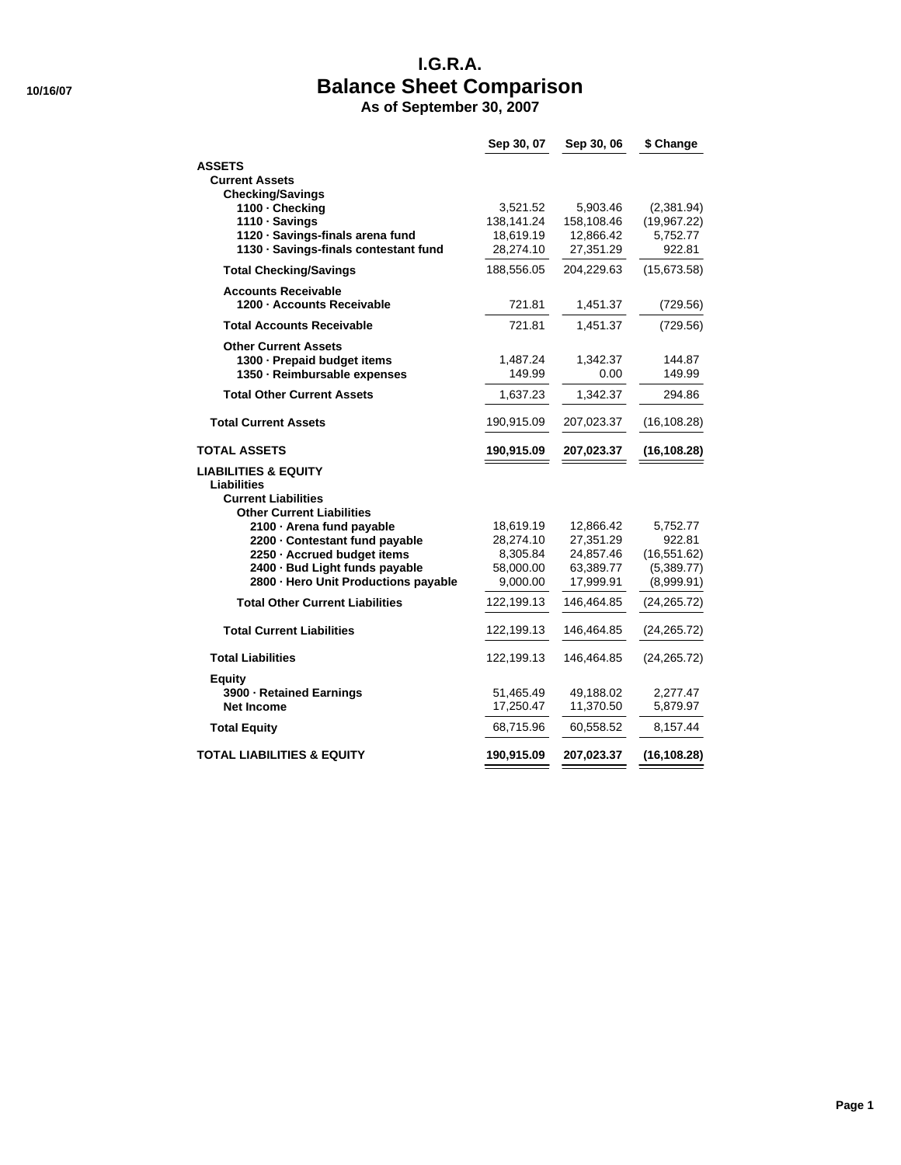# **I.G.R.A. 10/16/07 Balance Sheet Comparison**

**As of September 30, 2007**

|                                                               | Sep 30, 07             | Sep 30, 06             | \$ Change                  |
|---------------------------------------------------------------|------------------------|------------------------|----------------------------|
| <b>ASSETS</b>                                                 |                        |                        |                            |
| <b>Current Assets</b>                                         |                        |                        |                            |
| <b>Checking/Savings</b>                                       |                        |                        |                            |
| 1100 - Checking<br>1110 · Savings                             | 3,521.52<br>138,141.24 | 5,903.46<br>158,108.46 | (2,381.94)<br>(19,967.22)  |
| 1120 · Savings-finals arena fund                              | 18,619.19              | 12,866.42              | 5,752.77                   |
| 1130 · Savings-finals contestant fund                         | 28,274.10              | 27,351.29              | 922.81                     |
| <b>Total Checking/Savings</b>                                 | 188,556.05             | 204,229.63             | (15,673.58)                |
| <b>Accounts Receivable</b>                                    |                        |                        |                            |
| 1200 - Accounts Receivable                                    | 721.81                 | 1,451.37               | (729.56)                   |
| <b>Total Accounts Receivable</b>                              | 721.81                 | 1,451.37               | (729.56)                   |
| <b>Other Current Assets</b>                                   |                        |                        |                            |
| 1300 - Prepaid budget items                                   | 1,487.24               | 1,342.37               | 144.87                     |
| 1350 - Reimbursable expenses                                  | 149.99                 | 0.00                   | 149.99                     |
| <b>Total Other Current Assets</b>                             | 1,637.23               | 1,342.37               | 294.86                     |
| <b>Total Current Assets</b>                                   | 190,915.09             | 207,023.37             | (16, 108.28)               |
| <b>TOTAL ASSETS</b>                                           | 190,915.09             | 207,023.37             | (16, 108.28)               |
| <b>LIABILITIES &amp; EQUITY</b>                               |                        |                        |                            |
| Liabilities                                                   |                        |                        |                            |
| <b>Current Liabilities</b>                                    |                        |                        |                            |
| <b>Other Current Liabilities</b>                              |                        |                        |                            |
| 2100 · Arena fund payable                                     | 18,619.19              | 12,866.42              | 5,752.77                   |
| 2200 - Contestant fund payable                                | 28,274.10              | 27,351.29              | 922.81                     |
| 2250 · Accrued budget items<br>2400 · Bud Light funds payable | 8,305.84<br>58,000.00  | 24,857.46<br>63,389.77 | (16, 551.62)<br>(5,389.77) |
| 2800 - Hero Unit Productions payable                          | 9,000.00               | 17,999.91              | (8,999.91)                 |
|                                                               |                        |                        |                            |
| <b>Total Other Current Liabilities</b>                        | 122,199.13             | 146,464.85             | (24,265.72)                |
| <b>Total Current Liabilities</b>                              | 122,199.13             | 146,464.85             | (24, 265.72)               |
| <b>Total Liabilities</b>                                      | 122,199.13             | 146,464.85             | (24, 265.72)               |
| <b>Equity</b>                                                 |                        |                        |                            |
| 3900 - Retained Earnings                                      | 51,465.49              | 49,188.02              | 2,277.47                   |
| <b>Net Income</b>                                             | 17,250.47              | 11,370.50              | 5,879.97                   |
| <b>Total Equity</b>                                           | 68,715.96              | 60,558.52              | 8,157.44                   |
| <b>TOTAL LIABILITIES &amp; EQUITY</b>                         | 190,915.09             | 207,023.37             | (16, 108.28)               |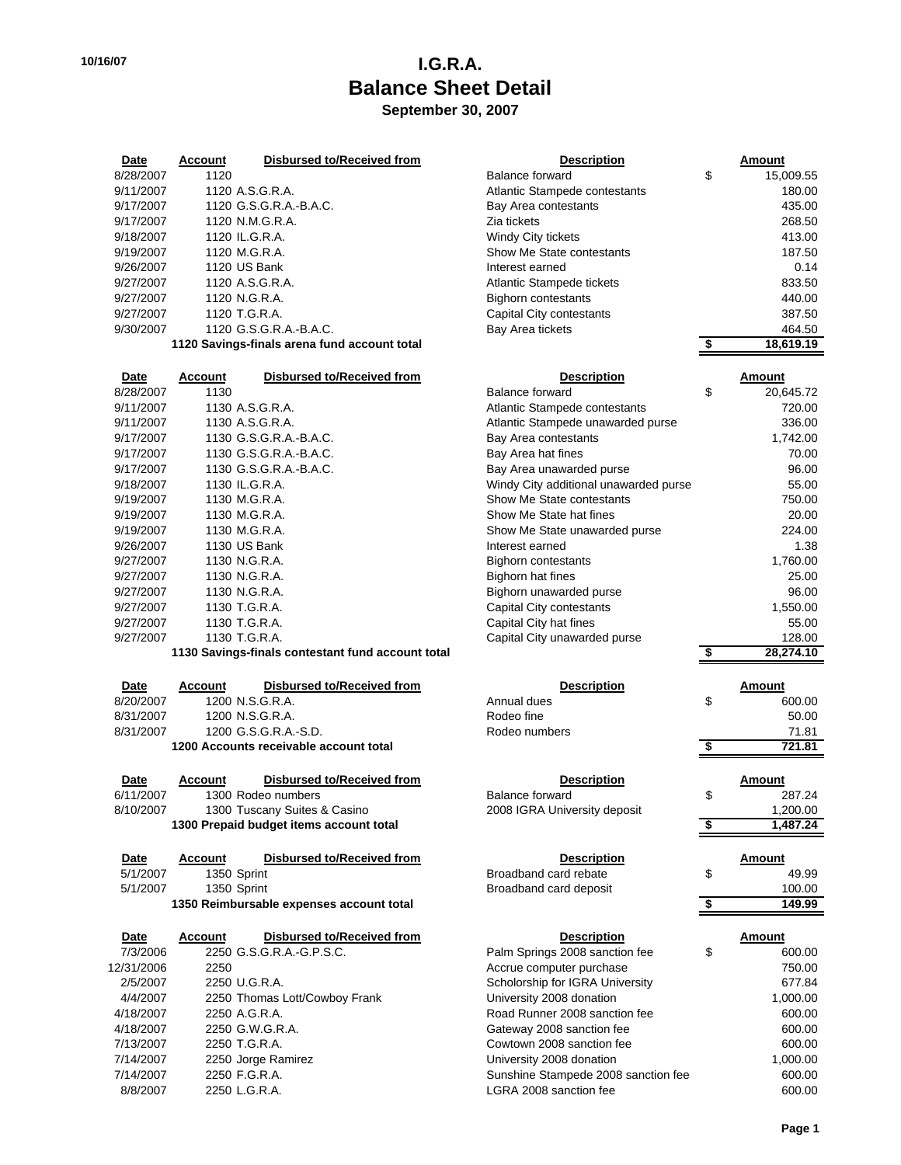### **10/16/07 I.G.R.A. Balance Sheet Detail September 30, 2007**

| Date      | Account | Disbursed to/Received from                   | <b>Description</b>            | Amount    |
|-----------|---------|----------------------------------------------|-------------------------------|-----------|
| 8/28/2007 | 1120    |                                              | Balance forward               | \$<br>15, |
| 9/11/2007 |         | 1120 A.S.G.R.A.                              | Atlantic Stampede contestants |           |
| 9/17/2007 |         | 1120 G.S.G.R.A.-B.A.C.                       | Bay Area contestants          |           |
| 9/17/2007 |         | 1120 N.M.G.R.A.                              | Zia tickets                   |           |
| 9/18/2007 |         | 1120 IL.G.R.A.                               | Windy City tickets            |           |
| 9/19/2007 |         | 1120 M.G.R.A.                                | Show Me State contestants     |           |
| 9/26/2007 |         | 1120 US Bank                                 | Interest earned               |           |
| 9/27/2007 |         | 1120 A.S.G.R.A.                              | Atlantic Stampede tickets     |           |
| 9/27/2007 |         | 1120 N.G.R.A.                                | <b>Bighorn contestants</b>    |           |
| 9/27/2007 |         | 1120 T.G.R.A.                                | Capital City contestants      |           |
| 9/30/2007 |         | 1120 G.S.G.R.A.-B.A.C.                       | Bay Area tickets              |           |
|           |         | 1120 Savings-finals arena fund account total |                               | 18,0      |

| <b>Date</b> | <b>Account</b> | <b>Disbursed to/Received from</b> | <b>Description</b>                    | Amount     |
|-------------|----------------|-----------------------------------|---------------------------------------|------------|
| 8/28/2007   | 1130           |                                   | <b>Balance forward</b>                | \$<br>20.6 |
| 9/11/2007   |                | 1130 A.S.G.R.A.                   | Atlantic Stampede contestants         |            |
| 9/11/2007   |                | 1130 A.S.G.R.A.                   | Atlantic Stampede unawarded purse     |            |
| 9/17/2007   |                | 1130 G.S.G.R.A.-B.A.C.            | Bay Area contestants                  | 1,         |
| 9/17/2007   |                | 1130 G.S.G.R.A.-B.A.C.            | Bay Area hat fines                    |            |
| 9/17/2007   |                | 1130 G.S.G.R.A.-B.A.C.            | Bay Area unawarded purse              |            |
| 9/18/2007   |                | 1130 IL.G.R.A.                    | Windy City additional unawarded purse |            |
| 9/19/2007   |                | 1130 M.G.R.A.                     | Show Me State contestants             |            |
| 9/19/2007   |                | 1130 M.G.R.A.                     | Show Me State hat fines               |            |
| 9/19/2007   |                | 1130 M.G.R.A.                     | Show Me State unawarded purse         |            |
| 9/26/2007   |                | 1130 US Bank                      | Interest earned                       |            |
| 9/27/2007   |                | 1130 N.G.R.A.                     | Bighorn contestants                   | 1,         |
| 9/27/2007   |                | 1130 N.G.R.A.                     | Bighorn hat fines                     |            |
| 9/27/2007   |                | 1130 N.G.R.A.                     | Bighorn unawarded purse               |            |
| 9/27/2007   |                | 1130 T.G.R.A.                     | Capital City contestants              | 1,5        |
| 9/27/2007   |                | 1130 T.G.R.A.                     | Capital City hat fines                |            |
| 9/27/2007   |                | 1130 T.G.R.A.                     | Capital City unawarded purse          |            |
|             |                |                                   |                                       |            |

| <b>Date</b> | Account         | Disbursed to/Received from             | <b>Description</b> |   | Amount |
|-------------|-----------------|----------------------------------------|--------------------|---|--------|
| 8/20/2007   | 1200 N.S.G.R.A. |                                        | Annual dues        | S |        |
| 8/31/2007   | 1200 N.S.G.R.A. |                                        | Rodeo fine         |   |        |
| 8/31/2007   |                 | 1200 G.S.G.R.A.-S.D.                   | Rodeo numbers      |   |        |
|             |                 | 1200 Accounts receivable account total |                    |   |        |

| <b>Date</b> | Account | Disbursed to/Received from              | <b>Description</b>           | Amount |
|-------------|---------|-----------------------------------------|------------------------------|--------|
| 6/11/2007   |         | 1300 Rodeo numbers                      | Balance forward              |        |
| 8/10/2007   |         | 1300 Tuscany Suites & Casino            | 2008 IGRA University deposit |        |
|             |         | 1300 Prepaid budget items account total |                              |        |

| <b>Date</b> | Account | Disbursed to/Received from               | <b>Description</b>     | Amount |
|-------------|---------|------------------------------------------|------------------------|--------|
| 5/1/2007    |         | 1350 Sprint                              | Broadband card rebate  |        |
| 5/1/2007    |         | 1350 Sprint                              | Broadband card deposit |        |
|             |         | 1350 Reimbursable expenses account total |                        |        |

| Date       | <b>Account</b> | Disbursed to/Received from    | <b>Description</b>                  | Amount |
|------------|----------------|-------------------------------|-------------------------------------|--------|
| 7/3/2006   |                | 2250 G.S.G.R.A.-G.P.S.C.      | Palm Springs 2008 sanction fee      | \$     |
| 12/31/2006 | 2250           |                               | Accrue computer purchase            |        |
| 2/5/2007   |                | 2250 U.G.R.A.                 | Scholorship for IGRA University     |        |
| 4/4/2007   |                | 2250 Thomas Lott/Cowboy Frank | University 2008 donation            | 1.0    |
| 4/18/2007  |                | 2250 A.G.R.A.                 | Road Runner 2008 sanction fee       |        |
| 4/18/2007  |                | 2250 G.W.G.R.A.               | Gateway 2008 sanction fee           |        |
| 7/13/2007  |                | 2250 T.G.R.A.                 | Cowtown 2008 sanction fee           |        |
| 7/14/2007  |                | 2250 Jorge Ramirez            | University 2008 donation            | 1.0    |
| 7/14/2007  |                | 2250 F.G.R.A.                 | Sunshine Stampede 2008 sanction fee |        |
| 8/8/2007   |                | 2250 L.G.R.A.                 | LGRA 2008 sanction fee              |        |

| <b>Date</b> | <b>Account</b> | <b>Disbursed to/Received from</b>            | <b>Description</b>                    | Amount          |
|-------------|----------------|----------------------------------------------|---------------------------------------|-----------------|
| 8/28/2007   | 1120           |                                              | Balance forward                       | \$<br>15,009.55 |
| 9/11/2007   |                | 1120 A.S.G.R.A.                              | Atlantic Stampede contestants         | 180.00          |
| 9/17/2007   |                | 1120 G.S.G.R.A.-B.A.C.                       | Bay Area contestants                  | 435.00          |
| 9/17/2007   |                | 1120 N.M.G.R.A.                              | Zia tickets                           | 268.50          |
| 9/18/2007   | 1120 IL.G.R.A. |                                              | Windy City tickets                    | 413.00          |
| 9/19/2007   | 1120 M.G.R.A.  |                                              | Show Me State contestants             | 187.50          |
| 9/26/2007   | 1120 US Bank   |                                              | Interest earned                       | 0.14            |
| 9/27/2007   |                | 1120 A.S.G.R.A.                              | Atlantic Stampede tickets             | 833.50          |
| 9/27/2007   | 1120 N.G.R.A.  |                                              | <b>Bighorn contestants</b>            | 440.00          |
| 9/27/2007   | 1120 T.G.R.A.  |                                              | Capital City contestants              | 387.50          |
| 9/30/2007   |                | 1120 G.S.G.R.A.-B.A.C.                       | Bay Area tickets                      | 464.50          |
|             |                |                                              |                                       | \$<br>18,619.19 |
|             |                | 1120 Savings-finals arena fund account total |                                       |                 |
|             |                |                                              |                                       |                 |
| Date        | <b>Account</b> | Disbursed to/Received from                   | <b>Description</b>                    | Amount          |
| 8/28/2007   | 1130           |                                              | Balance forward                       | \$<br>20,645.72 |
| 9/11/2007   |                | 1130 A.S.G.R.A.                              | Atlantic Stampede contestants         | 720.00          |
| 9/11/2007   |                | 1130 A.S.G.R.A.                              | Atlantic Stampede unawarded purse     | 336.00          |
| 9/17/2007   |                | 1130 G.S.G.R.A.-B.A.C.                       | Bay Area contestants                  | 1,742.00        |
| 9/17/2007   |                | 1130 G.S.G.R.A.-B.A.C.                       | Bay Area hat fines                    | 70.00           |
| 9/17/2007   |                | 1130 G.S.G.R.A.-B.A.C.                       | Bay Area unawarded purse              | 96.00           |
| 9/18/2007   | 1130 IL.G.R.A. |                                              | Windy City additional unawarded purse | 55.00           |
| 9/19/2007   | 1130 M.G.R.A.  |                                              | Show Me State contestants             | 750.00          |
| 9/19/2007   | 1130 M.G.R.A.  |                                              | Show Me State hat fines               | 20.00           |

9/1.38 Interest earned 1.38<br>Bighorn contestants 1,760.00 Bighorn contestants 1,760.00<br>
Bighorn hat fines 1,25.00 96.00 Bighorn hat fines<br>Bighorn unawarded purse 25.00 Bighorn unawarded purse 96.00<br>Capital City contestants 96.00 9/27/2007 Capital City contestants 1,550.00<br>Capital City hat fines 1,5500

Capital City unawarded purse 128.00

| 1130 Savings-finals contestant fund account total |                |                                          |                                     | 28,274.10 |          |
|---------------------------------------------------|----------------|------------------------------------------|-------------------------------------|-----------|----------|
| Date                                              | <b>Account</b> | <b>Disbursed to/Received from</b>        | <b>Description</b>                  |           | Amount   |
| 8/20/2007                                         |                | 1200 N.S.G.R.A.                          | Annual dues                         | \$        | 600.00   |
| 8/31/2007                                         |                | 1200 N.S.G.R.A.                          | Rodeo fine                          |           | 50.00    |
| 8/31/2007                                         |                | 1200 G.S.G.R.A.-S.D.                     | Rodeo numbers                       |           | 71.81    |
|                                                   |                | 1200 Accounts receivable account total   |                                     |           | 721.81   |
|                                                   |                |                                          |                                     |           |          |
| Date                                              | <b>Account</b> | Disbursed to/Received from               | <b>Description</b>                  |           | Amount   |
| 6/11/2007                                         |                | 1300 Rodeo numbers                       | Balance forward                     | \$        | 287.24   |
| 8/10/2007                                         |                | 1300 Tuscany Suites & Casino             | 2008 IGRA University deposit        |           | 1,200.00 |
|                                                   |                | 1300 Prepaid budget items account total  |                                     | S         | 1,487.24 |
| Date                                              | <b>Account</b> | <b>Disbursed to/Received from</b>        | <b>Description</b>                  |           | Amount   |
| 5/1/2007                                          |                | 1350 Sprint                              | Broadband card rebate               | \$        | 49.99    |
| 5/1/2007                                          |                | 1350 Sprint                              | Broadband card deposit              |           | 100.00   |
|                                                   |                | 1350 Reimbursable expenses account total |                                     |           | 149.99   |
|                                                   |                |                                          |                                     |           |          |
| Date                                              | <b>Account</b> | Disbursed to/Received from               | <b>Description</b>                  |           | Amount   |
| 7/3/2006                                          |                | 2250 G.S.G.R.A.-G.P.S.C.                 | Palm Springs 2008 sanction fee      | \$        | 600.00   |
| 12/31/2006                                        | 2250           |                                          | Accrue computer purchase            |           | 750.00   |
| 2/5/2007                                          |                | 2250 U.G.R.A.                            | Scholorship for IGRA University     |           | 677.84   |
| 4/4/2007                                          |                | 2250 Thomas Lott/Cowboy Frank            | University 2008 donation            |           | 1,000.00 |
| 4/18/2007                                         |                | 2250 A.G.R.A.                            | Road Runner 2008 sanction fee       |           | 600.00   |
| 4/18/2007                                         |                | 2250 G.W.G.R.A.                          | Gateway 2008 sanction fee           |           | 600.00   |
| 7/13/2007                                         |                | 2250 T.G.R.A.                            | Cowtown 2008 sanction fee           |           | 600.00   |
| 7/14/2007                                         |                | 2250 Jorge Ramirez                       | University 2008 donation            |           | 1,000.00 |
| 7/14/2007                                         |                | 2250 F.G.R.A.                            | Sunshine Stampede 2008 sanction fee |           | 600.00   |
| 8/8/2007                                          |                | 2250 L.G.R.A.                            | LGRA 2008 sanction fee              |           | 600.00   |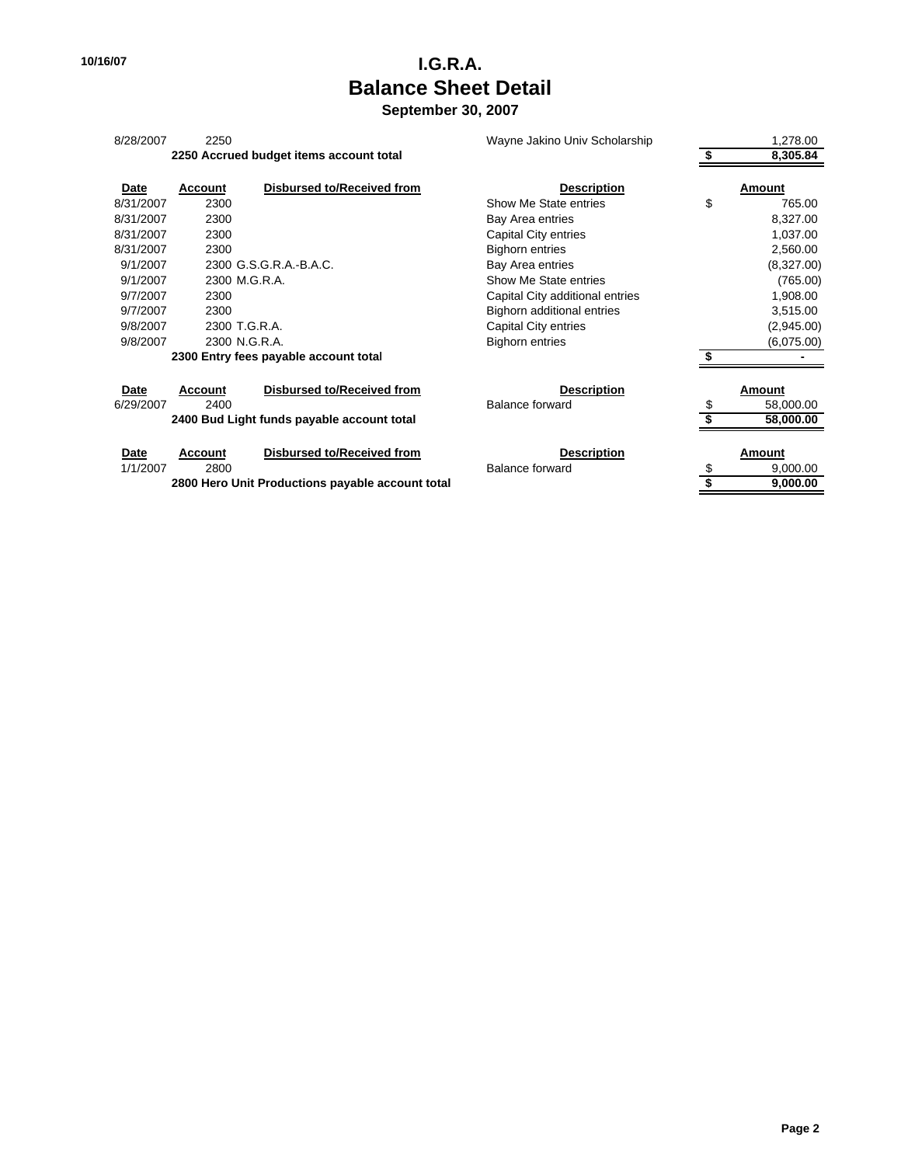# **10/16/07 I.G.R.A. Balance Sheet Detail**

**September 30, 2007**

| 8/28/2007   | 2250           |                                            | Wayne Jakino Univ Scholarship   | 1,278.00        |
|-------------|----------------|--------------------------------------------|---------------------------------|-----------------|
|             |                | 2250 Accrued budget items account total    |                                 | 8,305.84        |
| Date        | <b>Account</b> | <b>Disbursed to/Received from</b>          | <b>Description</b>              | Amount          |
| 8/31/2007   | 2300           |                                            | Show Me State entries           | \$<br>765.00    |
| 8/31/2007   | 2300           |                                            | Bay Area entries                | 8,327.00        |
| 8/31/2007   | 2300           |                                            | Capital City entries            | 1,037.00        |
| 8/31/2007   | 2300           |                                            | <b>Bighorn entries</b>          | 2,560.00        |
| 9/1/2007    |                | 2300 G.S.G.R.A.-B.A.C.                     | Bay Area entries                | (8,327.00)      |
| 9/1/2007    |                | 2300 M.G.R.A.                              | Show Me State entries           | (765.00)        |
| 9/7/2007    | 2300           |                                            | Capital City additional entries | 1,908.00        |
| 9/7/2007    | 2300           |                                            | Bighorn additional entries      | 3,515.00        |
| 9/8/2007    | 2300 T.G.R.A.  |                                            | Capital City entries            | (2,945.00)      |
| 9/8/2007    | 2300 N.G.R.A.  |                                            | <b>Bighorn entries</b>          | (6,075.00)      |
|             |                | 2300 Entry fees payable account total      |                                 |                 |
| <b>Date</b> | <b>Account</b> | <b>Disbursed to/Received from</b>          | <b>Description</b>              | Amount          |
| 6/29/2007   | 2400           |                                            | <b>Balance forward</b>          | \$<br>58,000.00 |
|             |                | 2400 Bud Light funds payable account total |                                 | 58,000.00       |
| <b>Date</b> | <b>Account</b> | Disbursed to/Received from                 | <b>Description</b>              | Amount          |
| 1/1/2007    | 2800           |                                            | <b>Balance forward</b>          | \$<br>9,000.00  |

**2800 Hero Unit Productions payable account total <b>8 19,000.00 \$** 9,000.00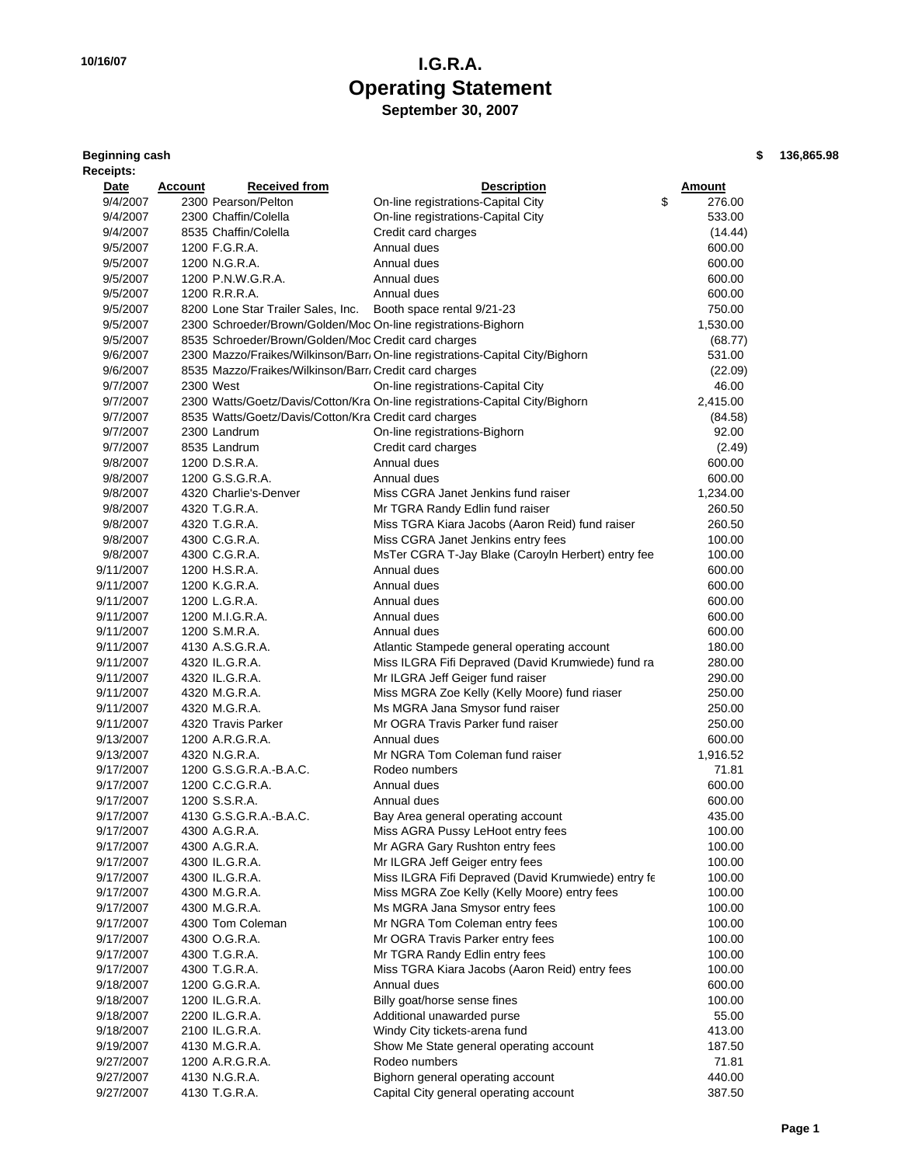### **10/16/07 I.G.R.A. Operating Statement September 30, 2007**

| <b>Beginning cash</b> |  |
|-----------------------|--|
| Receipts:             |  |

**Beginning cash \$ 136,865.98**

| <b>Received from</b><br><b>Description</b><br><u>Date</u><br><u>Account</u>               | <u>Amount</u> |
|-------------------------------------------------------------------------------------------|---------------|
| 9/4/2007<br>2300 Pearson/Pelton<br>On-line registrations-Capital City                     | \$<br>276.00  |
| 9/4/2007<br>2300 Chaffin/Colella<br>On-line registrations-Capital City                    | 533.00        |
| 8535 Chaffin/Colella<br>Credit card charges<br>9/4/2007                                   | (14.44)       |
| 9/5/2007<br>1200 F.G.R.A.<br>Annual dues                                                  | 600.00        |
| 9/5/2007<br>1200 N.G.R.A.<br>Annual dues                                                  | 600.00        |
| 9/5/2007<br>1200 P.N.W.G.R.A.<br>Annual dues                                              | 600.00        |
| 1200 R.R.R.A.<br>Annual dues<br>9/5/2007                                                  | 600.00        |
| 8200 Lone Star Trailer Sales, Inc.<br>Booth space rental 9/21-23<br>9/5/2007              | 750.00        |
| 2300 Schroeder/Brown/Golden/Moc On-line registrations-Bighorn<br>9/5/2007                 | 1,530.00      |
| 8535 Schroeder/Brown/Golden/Moc Credit card charges<br>9/5/2007                           | (68.77)       |
| 2300 Mazzo/Fraikes/Wilkinson/Barr/ On-line registrations-Capital City/Bighorn<br>9/6/2007 | 531.00        |
| 8535 Mazzo/Fraikes/Wilkinson/Barr/ Credit card charges<br>9/6/2007                        | (22.09)       |
| On-line registrations-Capital City<br>9/7/2007<br>2300 West                               | 46.00         |
| 9/7/2007<br>2300 Watts/Goetz/Davis/Cotton/Kra On-line registrations-Capital City/Bighorn  | 2,415.00      |
| 8535 Watts/Goetz/Davis/Cotton/Kra Credit card charges<br>9/7/2007                         | (84.58)       |
| 9/7/2007<br>2300 Landrum<br>On-line registrations-Bighorn                                 | 92.00         |
| 8535 Landrum<br>9/7/2007<br>Credit card charges                                           | (2.49)        |
| 1200 D.S.R.A.<br>Annual dues<br>9/8/2007                                                  | 600.00        |
| 1200 G.S.G.R.A.<br>Annual dues<br>9/8/2007                                                | 600.00        |
| 9/8/2007<br>Miss CGRA Janet Jenkins fund raiser<br>4320 Charlie's-Denver                  | 1,234.00      |
| 9/8/2007<br>4320 T.G.R.A.<br>Mr TGRA Randy Edlin fund raiser                              | 260.50        |
| 4320 T.G.R.A.<br>Miss TGRA Kiara Jacobs (Aaron Reid) fund raiser<br>9/8/2007              | 260.50        |
| 4300 C.G.R.A.<br>Miss CGRA Janet Jenkins entry fees<br>9/8/2007                           | 100.00        |
| 9/8/2007<br>4300 C.G.R.A.<br>MsTer CGRA T-Jay Blake (Caroyln Herbert) entry fee           | 100.00        |
| 9/11/2007<br>1200 H.S.R.A.<br>Annual dues                                                 | 600.00        |
| Annual dues<br>9/11/2007<br>1200 K.G.R.A.                                                 | 600.00        |
| Annual dues<br>9/11/2007<br>1200 L.G.R.A.                                                 | 600.00        |
| 1200 M.I.G.R.A.<br>Annual dues<br>9/11/2007                                               | 600.00        |
| 1200 S.M.R.A.<br>Annual dues<br>9/11/2007                                                 | 600.00        |
| 4130 A.S.G.R.A.<br>9/11/2007<br>Atlantic Stampede general operating account               | 180.00        |
| 4320 IL.G.R.A.<br>Miss ILGRA Fifi Depraved (David Krumwiede) fund ra<br>9/11/2007         | 280.00        |
| 9/11/2007<br>4320 IL.G.R.A.<br>Mr ILGRA Jeff Geiger fund raiser                           | 290.00        |
| 4320 M.G.R.A.<br>Miss MGRA Zoe Kelly (Kelly Moore) fund riaser<br>9/11/2007               | 250.00        |
| 4320 M.G.R.A.<br>Ms MGRA Jana Smysor fund raiser<br>9/11/2007                             | 250.00        |
| 4320 Travis Parker<br>Mr OGRA Travis Parker fund raiser<br>9/11/2007                      | 250.00        |
| 1200 A.R.G.R.A.<br>9/13/2007<br>Annual dues                                               | 600.00        |
| 4320 N.G.R.A.<br>Mr NGRA Tom Coleman fund raiser<br>9/13/2007                             | 1,916.52      |
| 1200 G.S.G.R.A.-B.A.C.<br>Rodeo numbers<br>9/17/2007                                      | 71.81         |
| Annual dues<br>9/17/2007<br>1200 C.C.G.R.A.                                               | 600.00        |
| 1200 S.S.R.A.<br>9/17/2007<br>Annual dues                                                 | 600.00        |
| 9/17/2007<br>4130 G.S.G.R.A.-B.A.C.<br>Bay Area general operating account                 | 435.00        |
| 9/17/2007<br>4300 A.G.R.A.<br>Miss AGRA Pussy LeHoot entry fees                           | 100.00        |
| Mr AGRA Gary Rushton entry fees<br>9/17/2007<br>4300 A.G.R.A.                             | 100.00        |
| Mr ILGRA Jeff Geiger entry fees<br>9/17/2007<br>4300 IL.G.R.A.                            | 100.00        |
| Miss ILGRA Fifi Depraved (David Krumwiede) entry fe<br>9/17/2007<br>4300 IL.G.R.A.        | 100.00        |
| Miss MGRA Zoe Kelly (Kelly Moore) entry fees<br>9/17/2007<br>4300 M.G.R.A.                | 100.00        |
| Ms MGRA Jana Smysor entry fees<br>9/17/2007<br>4300 M.G.R.A.                              | 100.00        |
| Mr NGRA Tom Coleman entry fees<br>9/17/2007<br>4300 Tom Coleman                           | 100.00        |
| Mr OGRA Travis Parker entry fees<br>9/17/2007<br>4300 O.G.R.A.                            | 100.00        |
| 4300 T.G.R.A.<br>Mr TGRA Randy Edlin entry fees<br>9/17/2007                              | 100.00        |
| Miss TGRA Kiara Jacobs (Aaron Reid) entry fees<br>9/17/2007<br>4300 T.G.R.A.              | 100.00        |
| 9/18/2007<br>1200 G.G.R.A.<br>Annual dues                                                 | 600.00        |
| Billy goat/horse sense fines<br>9/18/2007<br>1200 IL.G.R.A.                               | 100.00        |
| 2200 IL.G.R.A.<br>Additional unawarded purse<br>9/18/2007                                 | 55.00         |
| 2100 IL.G.R.A.<br>Windy City tickets-arena fund<br>9/18/2007                              | 413.00        |
| Show Me State general operating account<br>9/19/2007<br>4130 M.G.R.A.                     | 187.50        |
| 1200 A.R.G.R.A.<br>Rodeo numbers<br>9/27/2007                                             | 71.81         |
| 9/27/2007<br>4130 N.G.R.A.<br>Bighorn general operating account                           |               |
|                                                                                           | 440.00        |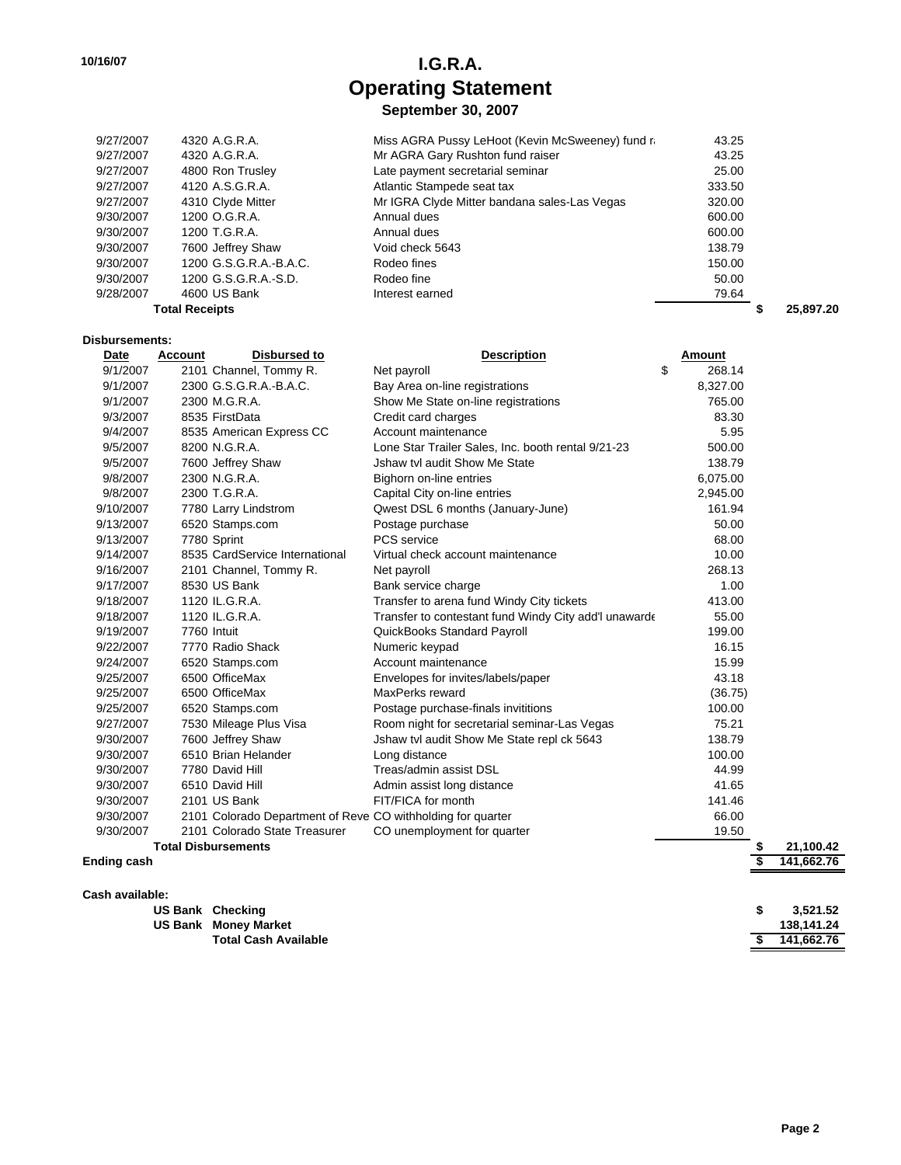# **10/16/07 I.G.R.A. Operating Statement**

**September 30, 2007**

| 4320 A.G.R.A.          | Miss AGRA Pussy LeHoot (Kevin McSweeney) fund ra | 43.25  |           |
|------------------------|--------------------------------------------------|--------|-----------|
| 4320 A.G.R.A.          | Mr AGRA Gary Rushton fund raiser                 | 43.25  |           |
| 4800 Ron Trusley       | Late payment secretarial seminar                 | 25.00  |           |
| 4120 A.S.G.R.A.        | Atlantic Stampede seat tax                       | 333.50 |           |
| 4310 Clyde Mitter      | Mr IGRA Clyde Mitter bandana sales-Las Vegas     | 320.00 |           |
| 1200 O.G.R.A.          | Annual dues                                      | 600.00 |           |
| 1200 T.G.R.A.          | Annual dues                                      | 600.00 |           |
| 7600 Jeffrey Shaw      | Void check 5643                                  | 138.79 |           |
| 1200 G.S.G.R.A.-B.A.C. | Rodeo fines                                      | 150.00 |           |
| 1200 G.S.G.R.A.-S.D.   | Rodeo fine                                       | 50.00  |           |
| 4600 US Bank           | Interest earned                                  | 79.64  |           |
| <b>Total Receipts</b>  |                                                  |        | 25.897.20 |
|                        |                                                  |        |           |

#### **Disbursements:**

| Date      | <b>Disbursed to</b><br><b>Account</b>                       | <b>Description</b>                                    | Amount       |           |
|-----------|-------------------------------------------------------------|-------------------------------------------------------|--------------|-----------|
| 9/1/2007  | 2101 Channel, Tommy R.                                      | Net payroll                                           | \$<br>268.14 |           |
| 9/1/2007  | 2300 G.S.G.R.A.-B.A.C.                                      | Bay Area on-line registrations                        | 8,327.00     |           |
| 9/1/2007  | 2300 M.G.R.A.                                               | Show Me State on-line registrations                   | 765.00       |           |
| 9/3/2007  | 8535 FirstData                                              | Credit card charges                                   | 83.30        |           |
| 9/4/2007  | 8535 American Express CC                                    | Account maintenance                                   | 5.95         |           |
| 9/5/2007  | 8200 N.G.R.A.                                               | Lone Star Trailer Sales, Inc. booth rental 9/21-23    | 500.00       |           |
| 9/5/2007  | 7600 Jeffrey Shaw                                           | Jshaw tvl audit Show Me State                         | 138.79       |           |
| 9/8/2007  | 2300 N.G.R.A.                                               | Bighorn on-line entries                               | 6,075.00     |           |
| 9/8/2007  | 2300 T.G.R.A.                                               | Capital City on-line entries                          | 2,945.00     |           |
| 9/10/2007 | 7780 Larry Lindstrom                                        | Qwest DSL 6 months (January-June)                     | 161.94       |           |
| 9/13/2007 | 6520 Stamps.com                                             | Postage purchase                                      | 50.00        |           |
| 9/13/2007 | 7780 Sprint                                                 | PCS service                                           | 68.00        |           |
| 9/14/2007 | 8535 CardService International                              | Virtual check account maintenance                     | 10.00        |           |
| 9/16/2007 | 2101 Channel, Tommy R.                                      | Net payroll                                           | 268.13       |           |
| 9/17/2007 | 8530 US Bank                                                | Bank service charge                                   | 1.00         |           |
| 9/18/2007 | 1120 IL.G.R.A.                                              | Transfer to arena fund Windy City tickets             | 413.00       |           |
| 9/18/2007 | 1120 IL.G.R.A.                                              | Transfer to contestant fund Windy City add'l unawarde | 55.00        |           |
| 9/19/2007 | 7760 Intuit                                                 | QuickBooks Standard Payroll                           | 199.00       |           |
| 9/22/2007 | 7770 Radio Shack                                            | Numeric keypad                                        | 16.15        |           |
| 9/24/2007 | 6520 Stamps.com                                             | Account maintenance                                   | 15.99        |           |
| 9/25/2007 | 6500 OfficeMax                                              | Envelopes for invites/labels/paper                    | 43.18        |           |
| 9/25/2007 | 6500 OfficeMax                                              | MaxPerks reward                                       | (36.75)      |           |
| 9/25/2007 | 6520 Stamps.com                                             | Postage purchase-finals invititions                   | 100.00       |           |
| 9/27/2007 | 7530 Mileage Plus Visa                                      | Room night for secretarial seminar-Las Vegas          | 75.21        |           |
| 9/30/2007 | 7600 Jeffrey Shaw                                           | Jshaw tvl audit Show Me State repl ck 5643            | 138.79       |           |
| 9/30/2007 | 6510 Brian Helander                                         | Long distance                                         | 100.00       |           |
| 9/30/2007 | 7780 David Hill                                             | Treas/admin assist DSL                                | 44.99        |           |
| 9/30/2007 | 6510 David Hill                                             | Admin assist long distance                            | 41.65        |           |
| 9/30/2007 | 2101 US Bank                                                | FIT/FICA for month                                    | 141.46       |           |
| 9/30/2007 | 2101 Colorado Department of Reve CO withholding for quarter |                                                       | 66.00        |           |
| 9/30/2007 | 2101 Colorado State Treasurer                               | CO unemployment for quarter                           | 19.50        |           |
|           | <b>Total Disbursements</b>                                  |                                                       | \$           | 21.100.42 |

**Ending cash \$ 141,662.76**

| Cash available: |                             |   |            |
|-----------------|-----------------------------|---|------------|
|                 | US Bank Checking            | S | 3,521.52   |
|                 | <b>US Bank Money Market</b> |   | 138,141.24 |
|                 | <b>Total Cash Available</b> |   | 141,662.76 |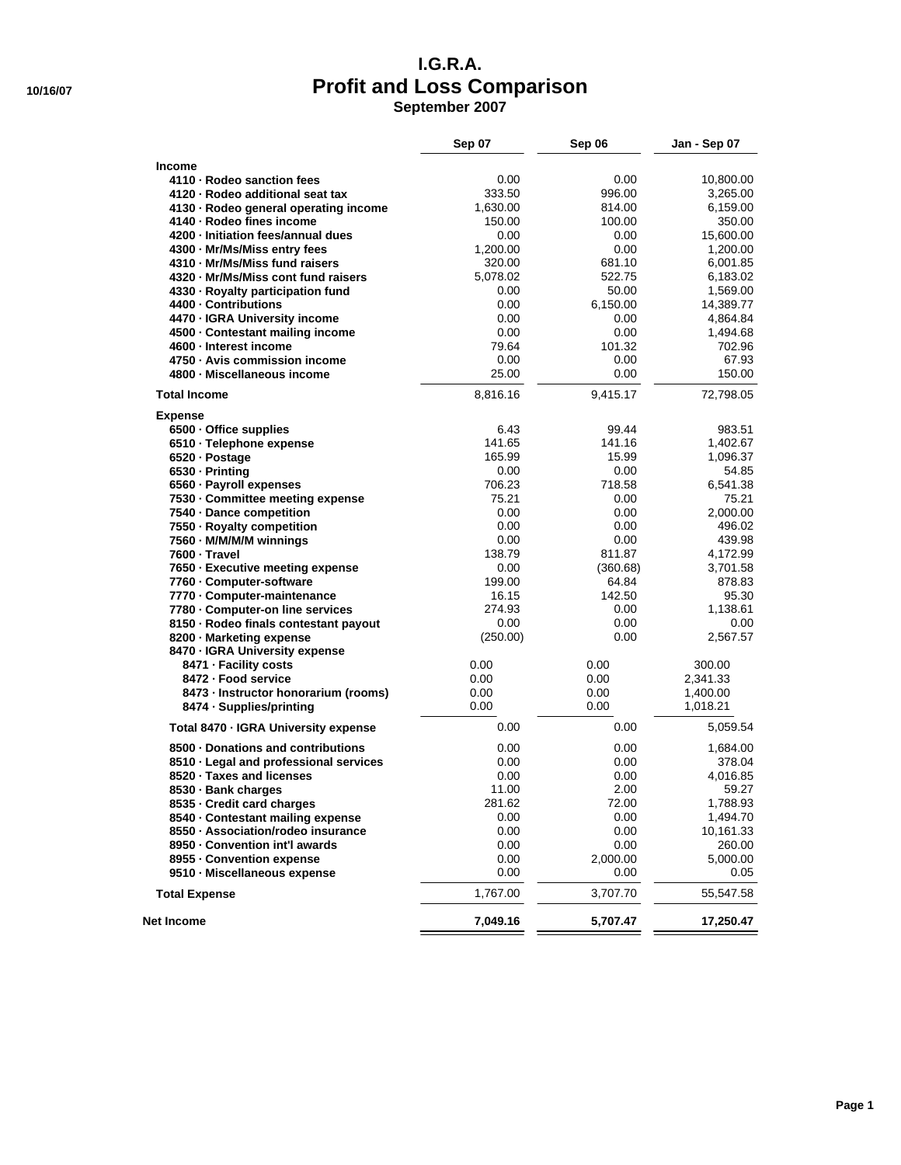#### **I.G.R.A. 10/16/07 Profit and Loss Comparison September 2007**

| eptember 2007 |  |  |  |  |
|---------------|--|--|--|--|
|---------------|--|--|--|--|

|                                        | <b>Sep 07</b> | Sep 06   | Jan - Sep 07 |
|----------------------------------------|---------------|----------|--------------|
| <b>Income</b>                          |               |          |              |
| 4110 - Rodeo sanction fees             | 0.00          | 0.00     | 10,800.00    |
| 4120 - Rodeo additional seat tax       | 333.50        | 996.00   | 3,265.00     |
| 4130 - Rodeo general operating income  | 1,630.00      | 814.00   | 6,159.00     |
| 4140 - Rodeo fines income              | 150.00        | 100.00   | 350.00       |
| 4200 - Initiation fees/annual dues     | 0.00          | 0.00     | 15,600.00    |
| 4300 - Mr/Ms/Miss entry fees           | 1,200.00      | 0.00     | 1,200.00     |
| 4310 - Mr/Ms/Miss fund raisers         | 320.00        | 681.10   | 6,001.85     |
| 4320 · Mr/Ms/Miss cont fund raisers    | 5,078.02      | 522.75   | 6,183.02     |
| 4330 - Royalty participation fund      | 0.00          | 50.00    | 1,569.00     |
| 4400 - Contributions                   | 0.00          | 6,150.00 | 14,389.77    |
| 4470 - IGRA University income          | 0.00          | 0.00     | 4,864.84     |
| 4500 - Contestant mailing income       | 0.00          | 0.00     | 1,494.68     |
| 4600 - Interest income                 | 79.64         | 101.32   | 702.96       |
| 4750 - Avis commission income          | 0.00          | 0.00     | 67.93        |
| 4800 - Miscellaneous income            | 25.00         | 0.00     | 150.00       |
| <b>Total Income</b>                    | 8,816.16      | 9,415.17 | 72,798.05    |
| <b>Expense</b>                         |               |          |              |
| 6500 - Office supplies                 | 6.43          | 99.44    | 983.51       |
| 6510 - Telephone expense               | 141.65        | 141.16   | 1,402.67     |
| 6520 · Postage                         | 165.99        | 15.99    | 1,096.37     |
| 6530 - Printing                        | 0.00          | 0.00     | 54.85        |
| 6560 - Payroll expenses                | 706.23        | 718.58   | 6,541.38     |
| 7530 · Committee meeting expense       | 75.21         | 0.00     | 75.21        |
| 7540 - Dance competition               | 0.00          | 0.00     | 2.000.00     |
| 7550 · Royalty competition             | 0.00          | 0.00     | 496.02       |
| 7560 - M/M/M/M winnings                | 0.00          | 0.00     | 439.98       |
| 7600 - Travel                          | 138.79        | 811.87   | 4,172.99     |
| 7650 · Executive meeting expense       | 0.00          | (360.68) | 3,701.58     |
| 7760 - Computer-software               | 199.00        | 64.84    | 878.83       |
| 7770 - Computer-maintenance            | 16.15         | 142.50   | 95.30        |
| 7780 - Computer-on line services       | 274.93        | 0.00     | 1,138.61     |
| 8150 - Rodeo finals contestant payout  | 0.00          | 0.00     | 0.00         |
| 8200 - Marketing expense               | (250.00)      | 0.00     | 2,567.57     |
| 8470 - IGRA University expense         |               |          |              |
| 8471 - Facility costs                  | 0.00          | 0.00     | 300.00       |
| 8472 - Food service                    | 0.00          | 0.00     | 2,341.33     |
| 8473 - Instructor honorarium (rooms)   | 0.00          | 0.00     | 1,400.00     |
| 8474 · Supplies/printing               | 0.00          | 0.00     | 1,018.21     |
| Total 8470 - IGRA University expense   | 0.00          | 0.00     | 5,059.54     |
| 8500 - Donations and contributions     | 0.00          | 0.00     | 1,684.00     |
| 8510 - Legal and professional services | 0.00          | 0.00     | 378.04       |
| 8520 · Taxes and licenses              | 0.00          | 0.00     | 4,016.85     |
| 8530 - Bank charges                    | 11.00         | 2.00     | 59.27        |
| 8535 - Credit card charges             | 281.62        | 72.00    | 1,788.93     |
| 8540 Contestant mailing expense        | 0.00          | 0.00     | 1,494.70     |
| 8550 · Association/rodeo insurance     | 0.00          | 0.00     | 10,161.33    |
| 8950 - Convention int'l awards         | 0.00          | 0.00     | 260.00       |
| 8955 - Convention expense              | 0.00          | 2,000.00 | 5,000.00     |
| 9510 · Miscellaneous expense           | 0.00          | 0.00     | 0.05         |
| <b>Total Expense</b>                   | 1,767.00      | 3,707.70 | 55,547.58    |
| Net Income                             | 7,049.16      | 5,707.47 | 17,250.47    |
|                                        |               |          |              |